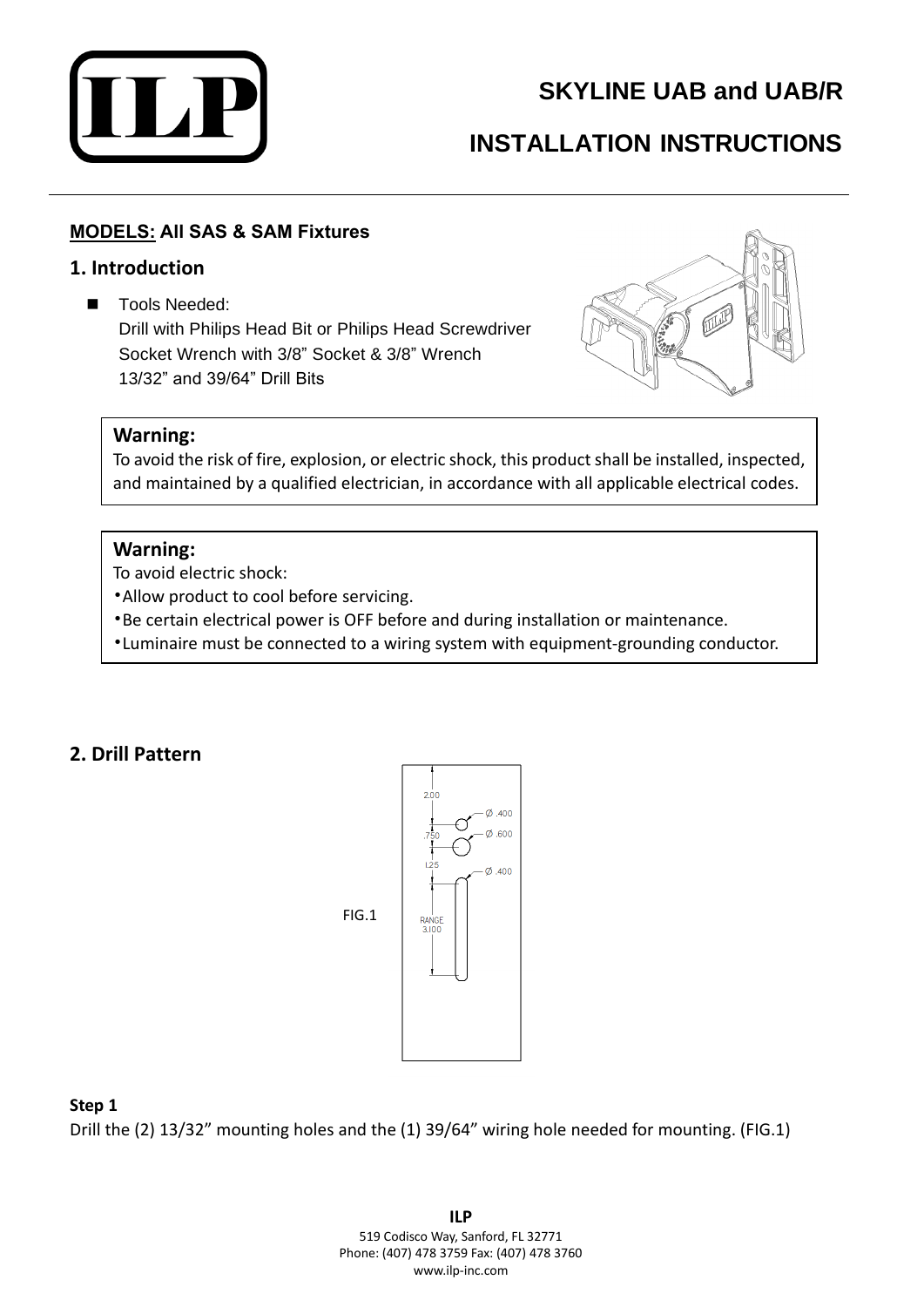

# **SKYLINE UAB and UAB/R**

# **INSTALLATION INSTRUCTIONS**

## **MODELS: All SAS & SAM Fixtures**

## **1. Introduction**

■ Tools Needed:

Drill with Philips Head Bit or Philips Head Screwdriver Socket Wrench with 3/8" Socket & 3/8" Wrench 13/32" and 39/64" Drill Bits



#### **Warning:**

To avoid the risk of fire, explosion, or electric shock, this product shall be installed, inspected, and maintained by a qualified electrician, in accordance with all applicable electrical codes.

#### **Warning:**

To avoid electric shock:

•Allow product to cool before servicing.

- •Be certain electrical power is OFF before and during installation or maintenance.
- •Luminaire must be connected to a wiring system with equipment-grounding conductor.

## **2. Drill Pattern**



#### **Step 1**

Drill the (2) 13/32" mounting holes and the (1) 39/64" wiring hole needed for mounting. (FIG.1)

**ILP** 519 Codisco Way, Sanford, FL 32771 Phone: (407) 478 3759 Fax: (407) 478 3760 www.ilp-inc.com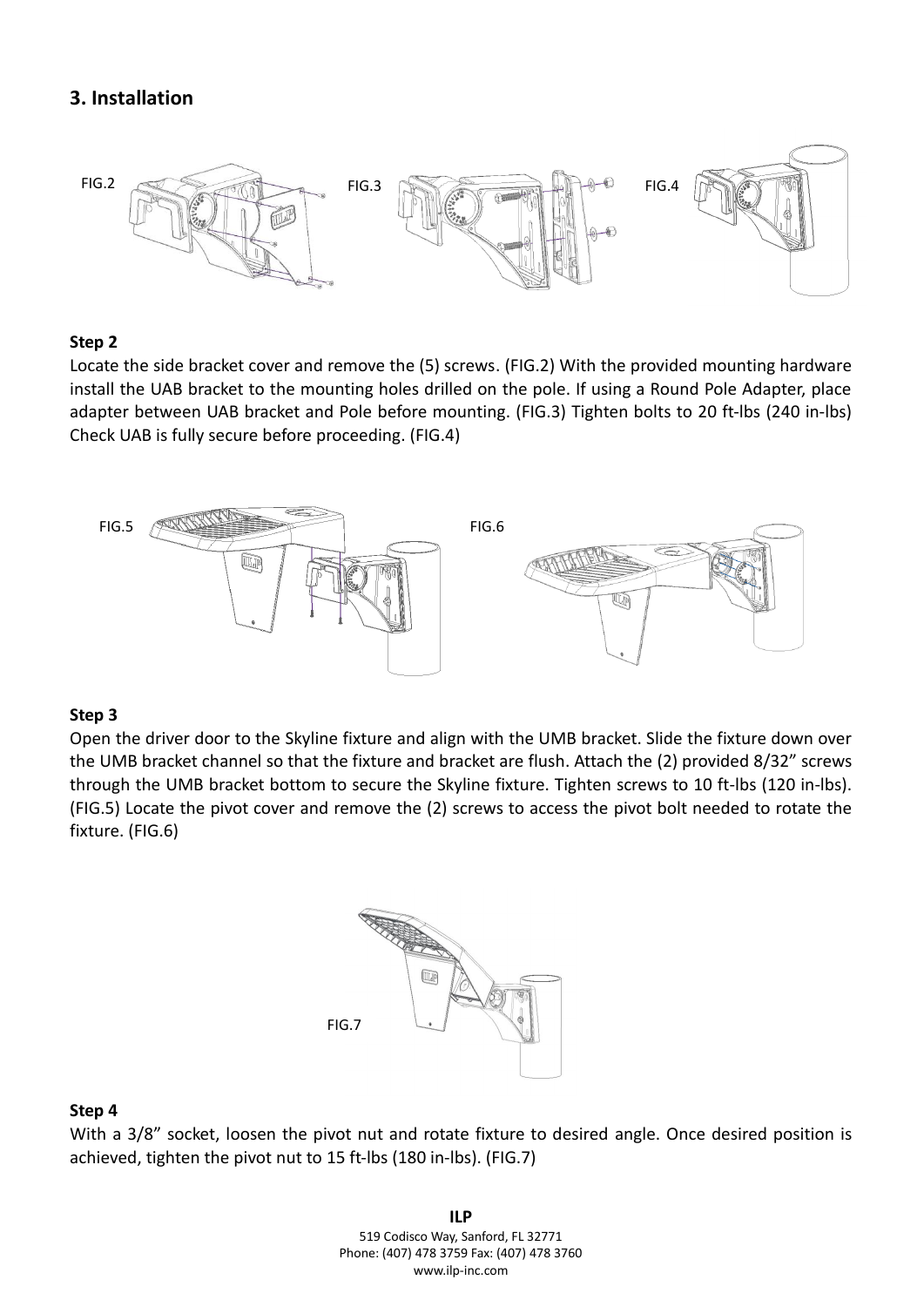## **3. Installation**



#### **Step 2**

Locate the side bracket cover and remove the (5) screws. (FIG.2) With the provided mounting hardware install the UAB bracket to the mounting holes drilled on the pole. If using a Round Pole Adapter, place adapter between UAB bracket and Pole before mounting. (FIG.3) Tighten bolts to 20 ft-lbs (240 in-lbs) Check UAB is fully secure before proceeding. (FIG.4)



#### **Step 3**

Open the driver door to the Skyline fixture and align with the UMB bracket. Slide the fixture down over the UMB bracket channel so that the fixture and bracket are flush. Attach the (2) provided 8/32" screws through the UMB bracket bottom to secure the Skyline fixture. Tighten screws to 10 ft-lbs (120 in-lbs). (FIG.5) Locate the pivot cover and remove the (2) screws to access the pivot bolt needed to rotate the fixture. (FIG.6)



#### **Step 4**

With a 3/8" socket, loosen the pivot nut and rotate fixture to desired angle. Once desired position is achieved, tighten the pivot nut to 15 ft-lbs (180 in-lbs). (FIG.7)

> **ILP** 519 Codisco Way, Sanford, FL 32771 Phone: (407) 478 3759 Fax: (407) 478 3760 www.ilp-inc.com